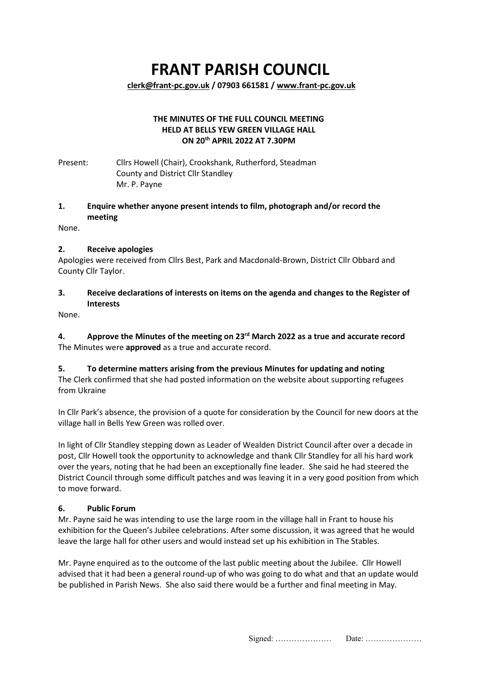# **FRANT PARISH COUNCIL**

**[clerk@frant-pc.gov.uk](mailto:clerk@frant-pc.gov.uk) / 07903 661581 [/ www.frant-pc.gov.uk](http://www.frant-pc.gov.uk/)**

#### **THE MINUTES OF THE FULL COUNCIL MEETING HELD AT BELLS YEW GREEN VILLAGE HALL ON 20th APRIL 2022 AT 7.30PM**

Present: Cllrs Howell (Chair), Crookshank, Rutherford, Steadman County and District Cllr Standley Mr. P. Payne

## **1. Enquire whether anyone present intends to film, photograph and/or record the meeting**

None.

## **2. Receive apologies**

Apologies were received from Cllrs Best, Park and Macdonald-Brown, District Cllr Obbard and County Cllr Taylor.

## **3. Receive declarations of interests on items on the agenda and changes to the Register of Interests**

None.

**4. Approve the Minutes of the meeting on 23rd March 2022 as a true and accurate record** The Minutes were **approved** as a true and accurate record.

## **5. To determine matters arising from the previous Minutes for updating and noting**

The Clerk confirmed that she had posted information on the website about supporting refugees from Ukraine

In Cllr Park's absence, the provision of a quote for consideration by the Council for new doors at the village hall in Bells Yew Green was rolled over.

In light of Cllr Standley stepping down as Leader of Wealden District Council after over a decade in post, Cllr Howell took the opportunity to acknowledge and thank Cllr Standley for all his hard work over the years, noting that he had been an exceptionally fine leader. She said he had steered the District Council through some difficult patches and was leaving it in a very good position from which to move forward.

## **6. Public Forum**

Mr. Payne said he was intending to use the large room in the village hall in Frant to house his exhibition for the Queen's Jubilee celebrations. After some discussion, it was agreed that he would leave the large hall for other users and would instead set up his exhibition in The Stables.

Mr. Payne enquired as to the outcome of the last public meeting about the Jubilee. Cllr Howell advised that it had been a general round-up of who was going to do what and that an update would be published in Parish News. She also said there would be a further and final meeting in May.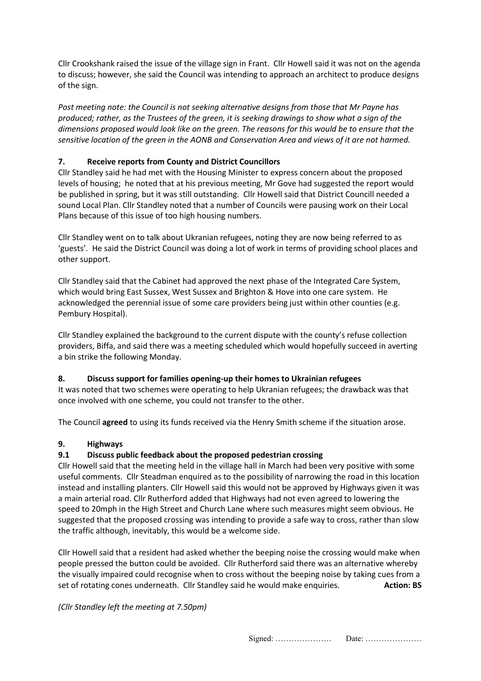Cllr Crookshank raised the issue of the village sign in Frant. Cllr Howell said it was not on the agenda to discuss; however, she said the Council was intending to approach an architect to produce designs of the sign.

*Post meeting note: the Council is not seeking alternative designs from those that Mr Payne has produced; rather, as the Trustees of the green, it is seeking drawings to show what a sign of the dimensions proposed would look like on the green. The reasons for this would be to ensure that the sensitive location of the green in the AONB and Conservation Area and views of it are not harmed.* 

## **7. Receive reports from County and District Councillors**

Cllr Standley said he had met with the Housing Minister to express concern about the proposed levels of housing; he noted that at his previous meeting, Mr Gove had suggested the report would be published in spring, but it was still outstanding. Cllr Howell said that District Councill needed a sound Local Plan. Cllr Standley noted that a number of Councils were pausing work on their Local Plans because of this issue of too high housing numbers.

Cllr Standley went on to talk about Ukranian refugees, noting they are now being referred to as 'guests'. He said the District Council was doing a lot of work in terms of providing school places and other support.

Cllr Standley said that the Cabinet had approved the next phase of the Integrated Care System, which would bring East Sussex, West Sussex and Brighton & Hove into one care system. He acknowledged the perennial issue of some care providers being just within other counties (e.g. Pembury Hospital).

Cllr Standley explained the background to the current dispute with the county's refuse collection providers, Biffa, and said there was a meeting scheduled which would hopefully succeed in averting a bin strike the following Monday.

## **8. Discuss support for families opening-up their homes to Ukrainian refugees**

It was noted that two schemes were operating to help Ukranian refugees; the drawback was that once involved with one scheme, you could not transfer to the other.

The Council **agreed** to using its funds received via the Henry Smith scheme if the situation arose.

## **9. Highways**

## **9.1 Discuss public feedback about the proposed pedestrian crossing**

Cllr Howell said that the meeting held in the village hall in March had been very positive with some useful comments. Cllr Steadman enquired as to the possibility of narrowing the road in this location instead and installing planters. Cllr Howell said this would not be approved by Highways given it was a main arterial road. Cllr Rutherford added that Highways had not even agreed to lowering the speed to 20mph in the High Street and Church Lane where such measures might seem obvious. He suggested that the proposed crossing was intending to provide a safe way to cross, rather than slow the traffic although, inevitably, this would be a welcome side.

Cllr Howell said that a resident had asked whether the beeping noise the crossing would make when people pressed the button could be avoided. Cllr Rutherford said there was an alternative whereby the visually impaired could recognise when to cross without the beeping noise by taking cues from a set of rotating cones underneath. Cllr Standley said he would make enquiries. **Action: BS** 

## *(Cllr Standley left the meeting at 7.50pm)*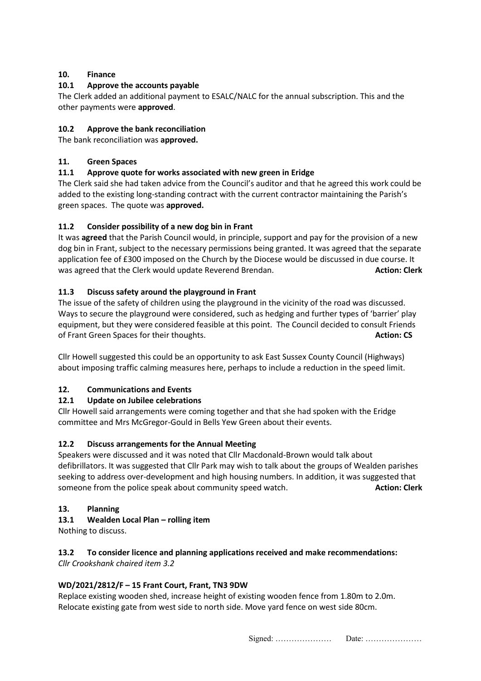## **10. Finance**

## **10.1 Approve the accounts payable**

The Clerk added an additional payment to ESALC/NALC for the annual subscription. This and the other payments were **approved**.

## **10.2 Approve the bank reconciliation**

The bank reconciliation was **approved.**

#### **11. Green Spaces**

## **11.1 Approve quote for works associated with new green in Eridge**

The Clerk said she had taken advice from the Council's auditor and that he agreed this work could be added to the existing long-standing contract with the current contractor maintaining the Parish's green spaces. The quote was **approved.**

## **11.2 Consider possibility of a new dog bin in Frant**

It was **agreed** that the Parish Council would, in principle, support and pay for the provision of a new dog bin in Frant, subject to the necessary permissions being granted. It was agreed that the separate application fee of £300 imposed on the Church by the Diocese would be discussed in due course. It was agreed that the Clerk would update Reverend Brendan. **Action: Clerk** and the Clerk

## **11.3 Discuss safety around the playground in Frant**

The issue of the safety of children using the playground in the vicinity of the road was discussed. Ways to secure the playground were considered, such as hedging and further types of 'barrier' play equipment, but they were considered feasible at this point. The Council decided to consult Friends of Frant Green Spaces for their thoughts. **Action: CS** and Transfer of Frant Green Spaces for their thoughts.

Cllr Howell suggested this could be an opportunity to ask East Sussex County Council (Highways) about imposing traffic calming measures here, perhaps to include a reduction in the speed limit.

## **12. Communications and Events**

## **12.1 Update on Jubilee celebrations**

Cllr Howell said arrangements were coming together and that she had spoken with the Eridge committee and Mrs McGregor-Gould in Bells Yew Green about their events.

## **12.2 Discuss arrangements for the Annual Meeting**

Speakers were discussed and it was noted that Cllr Macdonald-Brown would talk about defibrillators. It was suggested that Cllr Park may wish to talk about the groups of Wealden parishes seeking to address over-development and high housing numbers. In addition, it was suggested that someone from the police speak about community speed watch. **Action: Clerk** and the police speak about community speed watch.

## **13. Planning**

## **13.1 Wealden Local Plan – rolling item**

Nothing to discuss.

#### **13.2 To consider licence and planning applications received and make recommendations:**  *Cllr Crookshank chaired item 3.2*

## **WD/2021/2812/F – 15 Frant Court, Frant, TN3 9DW**

Replace existing wooden shed, increase height of existing wooden fence from 1.80m to 2.0m. Relocate existing gate from west side to north side. Move yard fence on west side 80cm.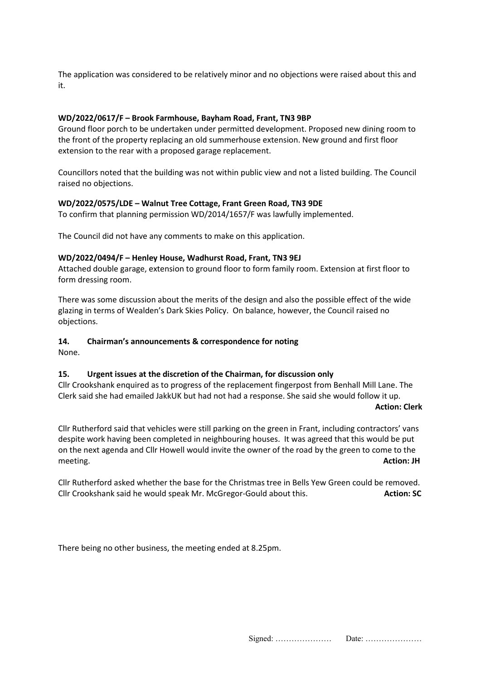The application was considered to be relatively minor and no objections were raised about this and it.

#### **WD/2022/0617/F – Brook Farmhouse, Bayham Road, Frant, TN3 9BP**

Ground floor porch to be undertaken under permitted development. Proposed new dining room to the front of the property replacing an old summerhouse extension. New ground and first floor extension to the rear with a proposed garage replacement.

Councillors noted that the building was not within public view and not a listed building. The Council raised no objections.

#### **WD/2022/0575/LDE – Walnut Tree Cottage, Frant Green Road, TN3 9DE**

To confirm that planning permission WD/2014/1657/F was lawfully implemented.

The Council did not have any comments to make on this application.

#### **WD/2022/0494/F – Henley House, Wadhurst Road, Frant, TN3 9EJ**

Attached double garage, extension to ground floor to form family room. Extension at first floor to form dressing room.

There was some discussion about the merits of the design and also the possible effect of the wide glazing in terms of Wealden's Dark Skies Policy. On balance, however, the Council raised no objections.

#### **14. Chairman's announcements & correspondence for noting**

None.

#### **15. Urgent issues at the discretion of the Chairman, for discussion only**

Cllr Crookshank enquired as to progress of the replacement fingerpost from Benhall Mill Lane. The Clerk said she had emailed JakkUK but had not had a response. She said she would follow it up.  **Action: Clerk**

Cllr Rutherford said that vehicles were still parking on the green in Frant, including contractors' vans despite work having been completed in neighbouring houses. It was agreed that this would be put on the next agenda and Cllr Howell would invite the owner of the road by the green to come to the meeting. **Action: JH**

Cllr Rutherford asked whether the base for the Christmas tree in Bells Yew Green could be removed. Cllr Crookshank said he would speak Mr. McGregor-Gould about this. **Action: SC** Action: SC

There being no other business, the meeting ended at 8.25pm.

|  | этунен. |  |
|--|---------|--|
|--|---------|--|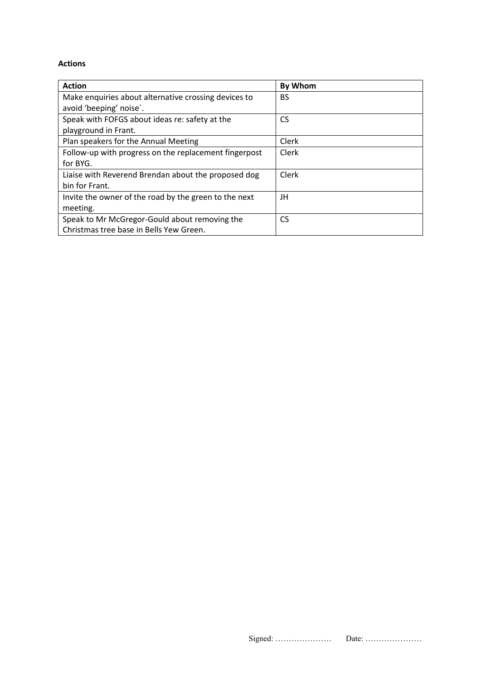#### **Actions**

| <b>Action</b>                                         | <b>By Whom</b> |
|-------------------------------------------------------|----------------|
| Make enquiries about alternative crossing devices to  | BS             |
| avoid 'beeping' noise'.                               |                |
| Speak with FOFGS about ideas re: safety at the        | CS             |
| playground in Frant.                                  |                |
| Plan speakers for the Annual Meeting                  | Clerk          |
| Follow-up with progress on the replacement fingerpost | Clerk          |
| for BYG.                                              |                |
| Liaise with Reverend Brendan about the proposed dog   | Clerk          |
| bin for Frant.                                        |                |
| Invite the owner of the road by the green to the next | JH             |
| meeting.                                              |                |
| Speak to Mr McGregor-Gould about removing the         | <b>CS</b>      |
| Christmas tree base in Bells Yew Green.               |                |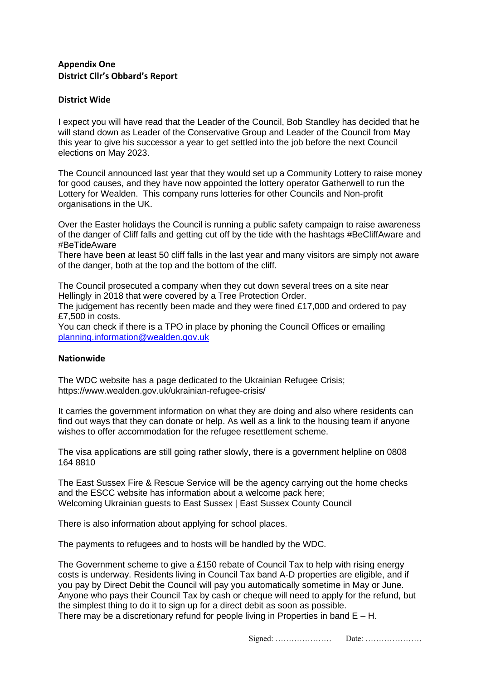## **Appendix One District Cllr's Obbard's Report**

## **District Wide**

I expect you will have read that the Leader of the Council, Bob Standley has decided that he will stand down as Leader of the Conservative Group and Leader of the Council from May this year to give his successor a year to get settled into the job before the next Council elections on May 2023.

The Council announced last year that they would set up a Community Lottery to raise money for good causes, and they have now appointed the lottery operator Gatherwell to run the Lottery for Wealden. This company runs lotteries for other Councils and Non-profit organisations in the UK.

Over the Easter holidays the Council is running a public safety campaign to raise awareness of the danger of Cliff falls and getting cut off by the tide with the hashtags #BeCliffAware and #BeTideAware

There have been at least 50 cliff falls in the last year and many visitors are simply not aware of the danger, both at the top and the bottom of the cliff.

The Council prosecuted a company when they cut down several trees on a site near Hellingly in 2018 that were covered by a Tree Protection Order.

The judgement has recently been made and they were fined £17,000 and ordered to pay £7,500 in costs.

You can check if there is a TPO in place by phoning the Council Offices or emailing [planning.information@wealden.gov.uk](mailto:planning.information@wealden.gov.uk)

#### **Nationwide**

The WDC website has a page dedicated to the Ukrainian Refugee Crisis; <https://www.wealden.gov.uk/ukrainian-refugee-crisis/>

It carries the government information on what they are doing and also where residents can find out ways that they can donate or help. As well as a link to the housing team if anyone wishes to offer accommodation for the refugee resettlement scheme.

The visa applications are still going rather slowly, there is a government helpline on 0808 164 8810

The East Sussex Fire & Rescue Service will be the agency carrying out the home checks and the ESCC website has information about a welcome pack here; [Welcoming Ukrainian guests to East Sussex | East Sussex County Council](https://new.eastsussex.gov.uk/your-council/ukraine-crisis/hosting-refugees)

There is also information about applying for school places.

The payments to refugees and to hosts will be handled by the WDC.

The Government scheme to give a £150 rebate of Council Tax to help with rising energy costs is underway. Residents living in Council Tax band A-D properties are eligible, and if you pay by Direct Debit the Council will pay you automatically sometime in May or June. Anyone who pays their Council Tax by cash or cheque will need to apply for the refund, but the simplest thing to do it to sign up for a direct debit as soon as possible. There may be a discretionary refund for people living in Properties in band  $E - H$ .